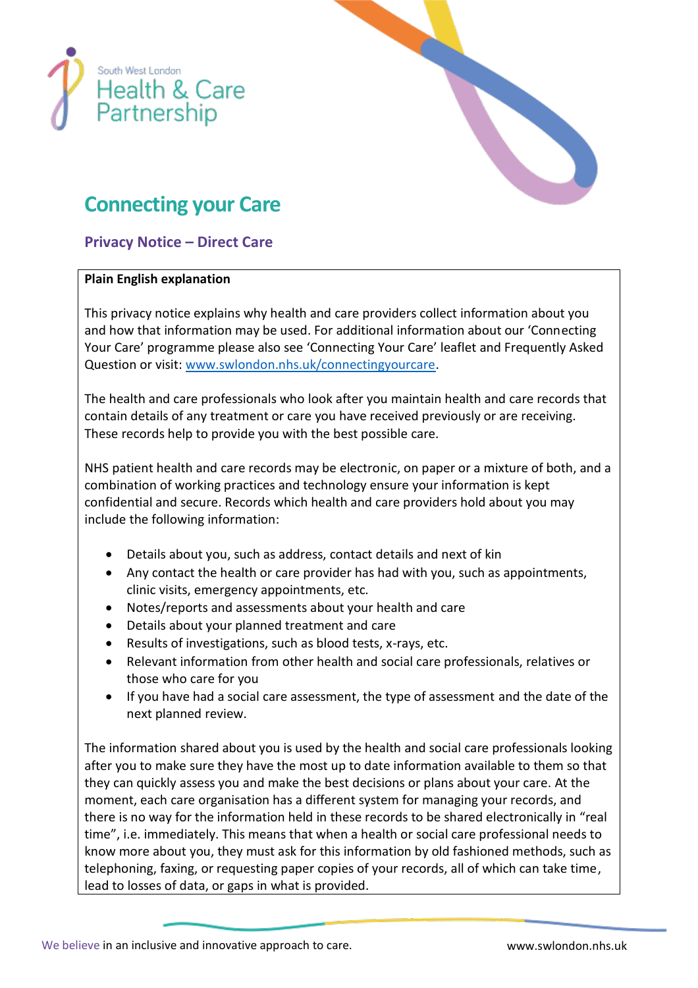



## **Connecting your Care**

## **Privacy Notice – Direct Care**

## **Plain English explanation**

This privacy notice explains why health and care providers collect information about you and how that information may be used. For additional information about our 'Connecting Your Care' programme please also see 'Connecting Your Care' leaflet and Frequently Asked Question or visit: [www.swlondon.nhs.uk/connectingyourcare.](http://www.swlondon.nhs.uk/connectingyourcare)

The health and care professionals who look after you maintain health and care records that contain details of any treatment or care you have received previously or are receiving. These records help to provide you with the best possible care.

NHS patient health and care records may be electronic, on paper or a mixture of both, and a combination of working practices and technology ensure your information is kept confidential and secure. Records which health and care providers hold about you may include the following information:

- Details about you, such as address, contact details and next of kin
- Any contact the health or care provider has had with you, such as appointments, clinic visits, emergency appointments, etc.
- Notes/reports and assessments about your health and care
- Details about your planned treatment and care
- Results of investigations, such as blood tests, x-rays, etc.
- Relevant information from other health and social care professionals, relatives or those who care for you
- If you have had a social care assessment, the type of assessment and the date of the next planned review.

The information shared about you is used by the health and social care professionals looking after you to make sure they have the most up to date information available to them so that they can quickly assess you and make the best decisions or plans about your care. At the moment, each care organisation has a different system for managing your records, and there is no way for the information held in these records to be shared electronically in "real time", i.e. immediately. This means that when a health or social care professional needs to know more about you, they must ask for this information by old fashioned methods, such as telephoning, faxing, or requesting paper copies of your records, all of which can take time, lead to losses of data, or gaps in what is provided.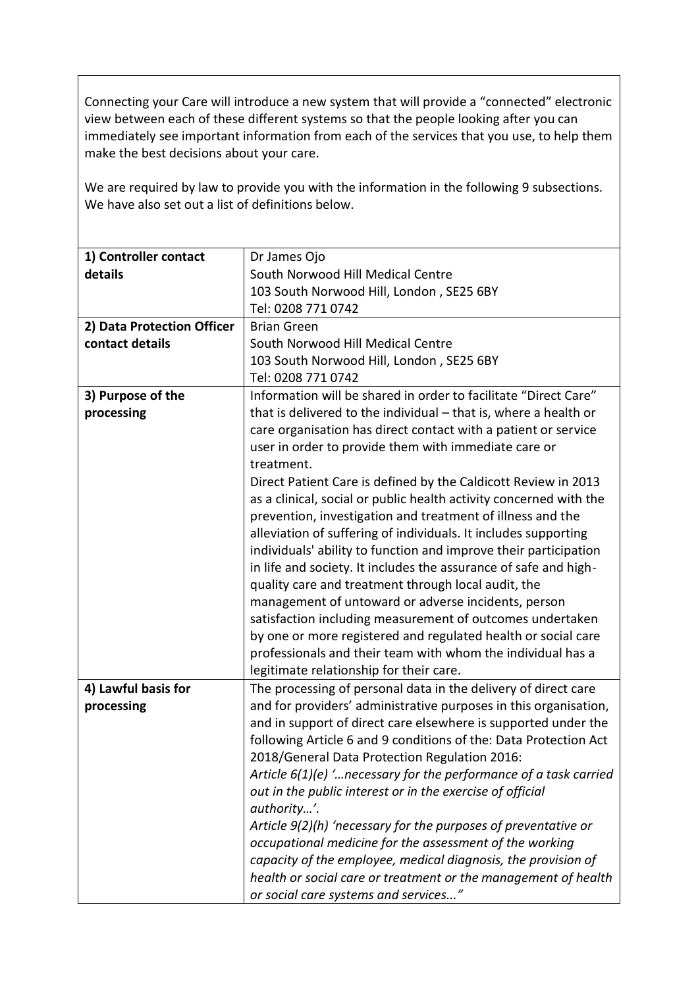Connecting your Care will introduce a new system that will provide a "connected" electronic view between each of these different systems so that the people looking after you can immediately see important information from each of the services that you use, to help them make the best decisions about your care.

We are required by law to provide you with the information in the following 9 subsections. We have also set out a list of definitions below.

| 1) Controller contact           | Dr James Ojo                                                                                           |
|---------------------------------|--------------------------------------------------------------------------------------------------------|
| details                         | South Norwood Hill Medical Centre                                                                      |
|                                 | 103 South Norwood Hill, London, SE25 6BY                                                               |
|                                 | Tel: 0208 771 0742                                                                                     |
| 2) Data Protection Officer      | <b>Brian Green</b>                                                                                     |
| contact details                 | South Norwood Hill Medical Centre                                                                      |
|                                 | 103 South Norwood Hill, London, SE25 6BY                                                               |
|                                 | Tel: 0208 771 0742<br>Information will be shared in order to facilitate "Direct Care"                  |
| 3) Purpose of the<br>processing | that is delivered to the individual - that is, where a health or                                       |
|                                 | care organisation has direct contact with a patient or service                                         |
|                                 | user in order to provide them with immediate care or                                                   |
|                                 | treatment.                                                                                             |
|                                 | Direct Patient Care is defined by the Caldicott Review in 2013                                         |
|                                 | as a clinical, social or public health activity concerned with the                                     |
|                                 | prevention, investigation and treatment of illness and the                                             |
|                                 | alleviation of suffering of individuals. It includes supporting                                        |
|                                 | individuals' ability to function and improve their participation                                       |
|                                 | in life and society. It includes the assurance of safe and high-                                       |
|                                 | quality care and treatment through local audit, the                                                    |
|                                 | management of untoward or adverse incidents, person                                                    |
|                                 | satisfaction including measurement of outcomes undertaken                                              |
|                                 | by one or more registered and regulated health or social care                                          |
|                                 | professionals and their team with whom the individual has a                                            |
|                                 | legitimate relationship for their care.                                                                |
| 4) Lawful basis for             | The processing of personal data in the delivery of direct care                                         |
| processing                      | and for providers' administrative purposes in this organisation,                                       |
|                                 | and in support of direct care elsewhere is supported under the                                         |
|                                 | following Article 6 and 9 conditions of the: Data Protection Act                                       |
|                                 | 2018/General Data Protection Regulation 2016:                                                          |
|                                 | Article $6(1)(e)$ ' necessary for the performance of a task carried                                    |
|                                 | out in the public interest or in the exercise of official                                              |
|                                 | authority'.                                                                                            |
|                                 | Article 9(2)(h) 'necessary for the purposes of preventative or                                         |
|                                 | occupational medicine for the assessment of the working                                                |
|                                 | capacity of the employee, medical diagnosis, the provision of                                          |
|                                 | health or social care or treatment or the management of health<br>or social care systems and services" |
|                                 |                                                                                                        |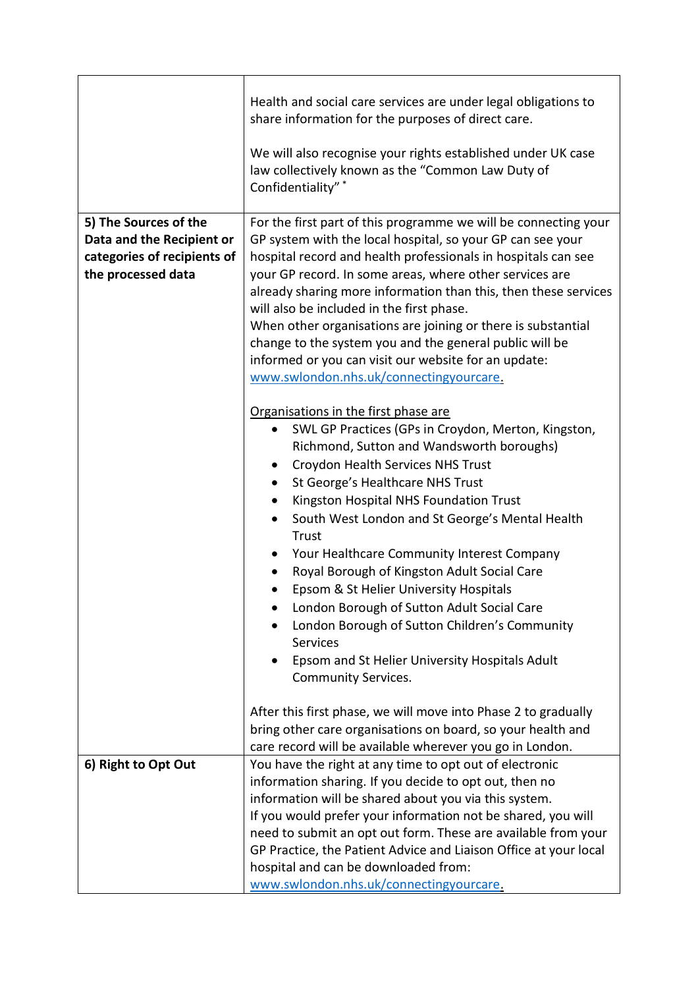|                                                                                                         | Health and social care services are under legal obligations to<br>share information for the purposes of direct care.                                                                                                                                                                                                                                                                                                                                                                                                                                                                                                                                                                                                                                          |
|---------------------------------------------------------------------------------------------------------|---------------------------------------------------------------------------------------------------------------------------------------------------------------------------------------------------------------------------------------------------------------------------------------------------------------------------------------------------------------------------------------------------------------------------------------------------------------------------------------------------------------------------------------------------------------------------------------------------------------------------------------------------------------------------------------------------------------------------------------------------------------|
|                                                                                                         | We will also recognise your rights established under UK case<br>law collectively known as the "Common Law Duty of<br>Confidentiality"*                                                                                                                                                                                                                                                                                                                                                                                                                                                                                                                                                                                                                        |
| 5) The Sources of the<br>Data and the Recipient or<br>categories of recipients of<br>the processed data | For the first part of this programme we will be connecting your<br>GP system with the local hospital, so your GP can see your<br>hospital record and health professionals in hospitals can see<br>your GP record. In some areas, where other services are<br>already sharing more information than this, then these services<br>will also be included in the first phase.<br>When other organisations are joining or there is substantial<br>change to the system you and the general public will be<br>informed or you can visit our website for an update:                                                                                                                                                                                                  |
|                                                                                                         | www.swlondon.nhs.uk/connectingyourcare.<br>Organisations in the first phase are<br>SWL GP Practices (GPs in Croydon, Merton, Kingston,<br>$\bullet$<br>Richmond, Sutton and Wandsworth boroughs)<br>Croydon Health Services NHS Trust<br>٠<br>St George's Healthcare NHS Trust<br>$\bullet$<br>Kingston Hospital NHS Foundation Trust<br>South West London and St George's Mental Health<br>Trust<br>Your Healthcare Community Interest Company<br>$\bullet$<br>Royal Borough of Kingston Adult Social Care<br>Epsom & St Helier University Hospitals<br>$\bullet$<br>London Borough of Sutton Adult Social Care<br>London Borough of Sutton Children's Community<br><b>Services</b><br>Epsom and St Helier University Hospitals Adult<br>Community Services. |
|                                                                                                         | After this first phase, we will move into Phase 2 to gradually<br>bring other care organisations on board, so your health and<br>care record will be available wherever you go in London.                                                                                                                                                                                                                                                                                                                                                                                                                                                                                                                                                                     |
| 6) Right to Opt Out                                                                                     | You have the right at any time to opt out of electronic<br>information sharing. If you decide to opt out, then no<br>information will be shared about you via this system.<br>If you would prefer your information not be shared, you will<br>need to submit an opt out form. These are available from your<br>GP Practice, the Patient Advice and Liaison Office at your local<br>hospital and can be downloaded from:<br>www.swlondon.nhs.uk/connectingyourcare.                                                                                                                                                                                                                                                                                            |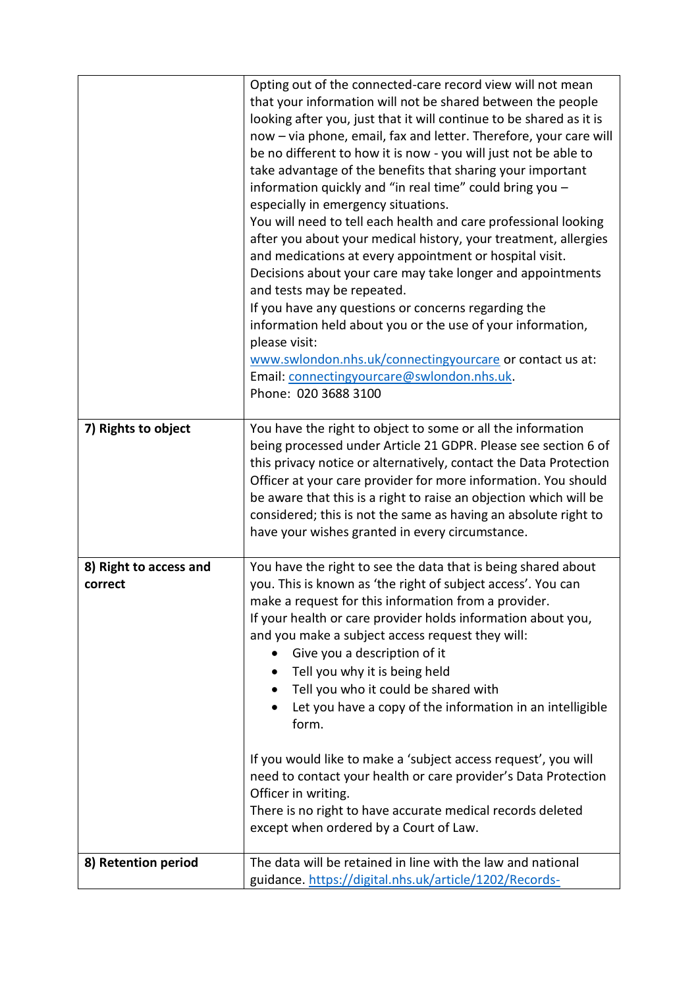|                        | Opting out of the connected-care record view will not mean          |
|------------------------|---------------------------------------------------------------------|
|                        | that your information will not be shared between the people         |
|                        | looking after you, just that it will continue to be shared as it is |
|                        | now - via phone, email, fax and letter. Therefore, your care will   |
|                        | be no different to how it is now - you will just not be able to     |
|                        | take advantage of the benefits that sharing your important          |
|                        | information quickly and "in real time" could bring you -            |
|                        | especially in emergency situations.                                 |
|                        | You will need to tell each health and care professional looking     |
|                        | after you about your medical history, your treatment, allergies     |
|                        | and medications at every appointment or hospital visit.             |
|                        | Decisions about your care may take longer and appointments          |
|                        | and tests may be repeated.                                          |
|                        | If you have any questions or concerns regarding the                 |
|                        | information held about you or the use of your information,          |
|                        | please visit:                                                       |
|                        | www.swlondon.nhs.uk/connectingyourcare or contact us at:            |
|                        | Email: connectingyourcare@swlondon.nhs.uk.                          |
|                        | Phone: 020 3688 3100                                                |
|                        |                                                                     |
| 7) Rights to object    | You have the right to object to some or all the information         |
|                        | being processed under Article 21 GDPR. Please see section 6 of      |
|                        | this privacy notice or alternatively, contact the Data Protection   |
|                        | Officer at your care provider for more information. You should      |
|                        | be aware that this is a right to raise an objection which will be   |
|                        | considered; this is not the same as having an absolute right to     |
|                        | have your wishes granted in every circumstance.                     |
|                        |                                                                     |
| 8) Right to access and | You have the right to see the data that is being shared about       |
| correct                | you. This is known as 'the right of subject access'. You can        |
|                        | make a request for this information from a provider.                |
|                        | If your health or care provider holds information about you,        |
|                        | and you make a subject access request they will:                    |
|                        | Give you a description of it                                        |
|                        | Tell you why it is being held                                       |
|                        | Tell you who it could be shared with<br>٠                           |
|                        | Let you have a copy of the information in an intelligible           |
|                        | form.                                                               |
|                        |                                                                     |
|                        | If you would like to make a 'subject access request', you will      |
|                        | need to contact your health or care provider's Data Protection      |
|                        | Officer in writing.                                                 |
|                        | There is no right to have accurate medical records deleted          |
|                        | except when ordered by a Court of Law.                              |
|                        |                                                                     |
| 8) Retention period    | The data will be retained in line with the law and national         |
|                        | guidance. https://digital.nhs.uk/article/1202/Records-              |